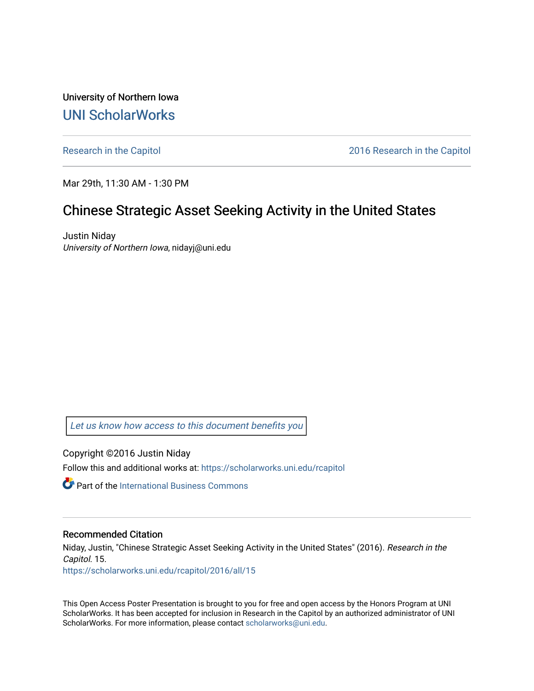University of Northern Iowa [UNI ScholarWorks](https://scholarworks.uni.edu/) 

[Research in the Capitol](https://scholarworks.uni.edu/rcapitol) 2016 Research in the Capitol

Mar 29th, 11:30 AM - 1:30 PM

# Chinese Strategic Asset Seeking Activity in the United States

Justin Niday University of Northern Iowa, nidayj@uni.edu

[Let us know how access to this document benefits you](https://scholarworks.uni.edu/feedback_form.html) 

Copyright ©2016 Justin Niday

Follow this and additional works at: [https://scholarworks.uni.edu/rcapitol](https://scholarworks.uni.edu/rcapitol?utm_source=scholarworks.uni.edu%2Frcapitol%2F2016%2Fall%2F15&utm_medium=PDF&utm_campaign=PDFCoverPages) 

**C** Part of the International Business Commons

## Recommended Citation

Niday, Justin, "Chinese Strategic Asset Seeking Activity in the United States" (2016). Research in the Capitol. 15.

[https://scholarworks.uni.edu/rcapitol/2016/all/15](https://scholarworks.uni.edu/rcapitol/2016/all/15?utm_source=scholarworks.uni.edu%2Frcapitol%2F2016%2Fall%2F15&utm_medium=PDF&utm_campaign=PDFCoverPages)

This Open Access Poster Presentation is brought to you for free and open access by the Honors Program at UNI ScholarWorks. It has been accepted for inclusion in Research in the Capitol by an authorized administrator of UNI ScholarWorks. For more information, please contact [scholarworks@uni.edu](mailto:scholarworks@uni.edu).